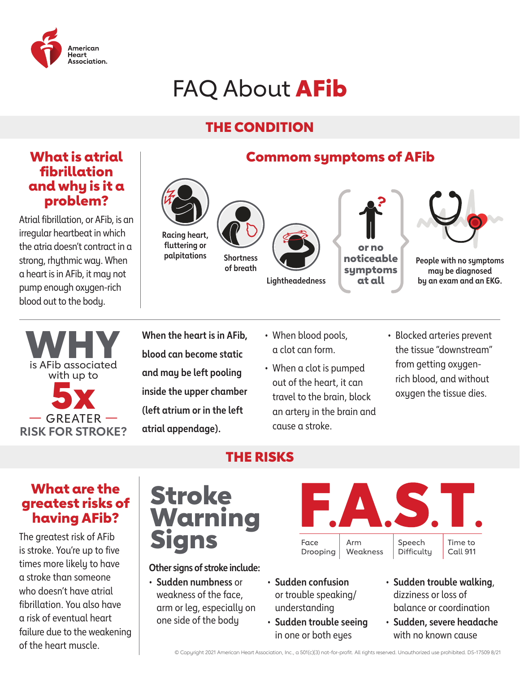

# FAQ About **AFib**

### THE CONDITION

### What is atrial fibrillation and why is it a problem?

Atrial fibrillation, or AFib, is an irregular heartbeat in which the atria doesn't contract in a strong, rhythmic way. When a heart is in AFib, it may not pump enough oxygen-rich blood out to the body.





**When the heart is in AFib, blood can become static and may be left pooling inside the upper chamber (left atrium or in the left atrial appendage).** 

- When blood pools, a clot can form.
- When a clot is pumped out of the heart, it can travel to the brain, block an artery in the brain and cause a stroke.
- Blocked arteries prevent the tissue "downstream" from getting oxygenrich blood, and without oxygen the tissue dies.

### What are the greatest risks of having AFib?

The greatest risk of AFib is stroke. You're up to five times more likely to have a stroke than someone who doesn't have atrial fibrillation. You also have a risk of eventual heart failure due to the weakening of the heart muscle.

## Stroke Warning Signs

THE RISKS

**Other signs of stroke include:** 

• **Sudden numbness** or weakness of the face, arm or leg, especially on one side of the body



- **Sudden confusion** or trouble speaking/ understanding
- **Sudden trouble seeing** in one or both eyes
- **Sudden trouble walking**, dizziness or loss of balance or coordination
- **Sudden, severe headache** with no known cause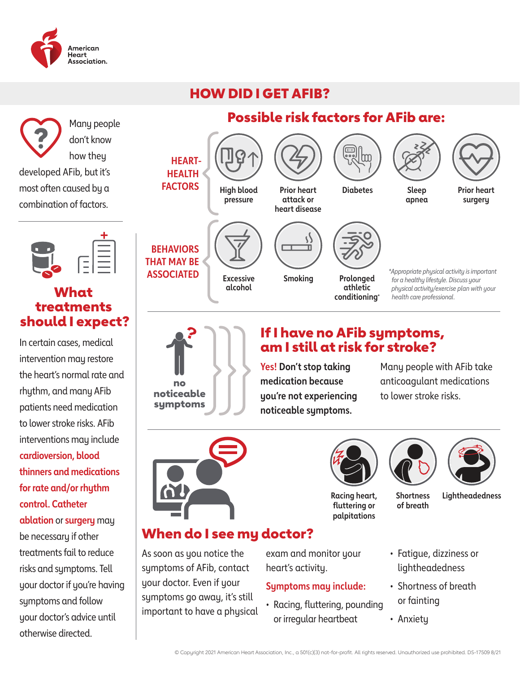

### HOW DID I GET AFIB?



In certain cases, medical intervention may restore the heart's normal rate and rhythm, and many AFib patients need medication to lower stroke risks. AFib interventions may include **cardioversion, blood thinners and medications for rate and/or rhythm control. Catheter ablation** or **surgery** may be necessary if other treatments fail to reduce risks and symptoms. Tell your doctor if you're having symptoms and follow your doctor's advice until otherwise directed.



### If I have no AFib symptoms, am I still at risk for stroke?

**Racing heart, fluttering or palpitations**

Possible risk factors for AFib are:

**Yes! Don't stop taking medication because you're not experiencing noticeable symptoms.** 

Many people with AFib take anticoagulant medications to lower stroke risks.



### When do I see my doctor?

As soon as you notice the symptoms of AFib, contact your doctor. Even if your symptoms go away, it's still important to have a physical

exam and monitor your heart's activity.

#### **Symptoms may include:**

• Racing, fluttering, pounding or irregular heartbeat



**of breath**

**Shortness Lightheadedness**

- Fatigue, dizziness or lightheadedness
- Shortness of breath or fainting
- Anxiety

© Copyright 2021 American Heart Association, Inc., a 501(c)(3) not-for-profit. All rights reserved. Unauthorized use prohibited. DS-17509 8/21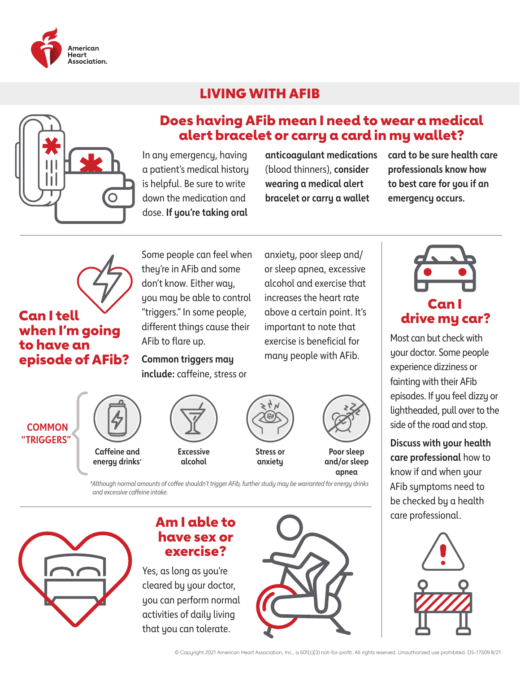

### LIVING WITH AFIB



### Does having AFib mean I need to wear a medical alert bracelet or carry a card in my wallet?

In any emergency, having a patient's medical history is helpful. Be sure to write down the medication and dose. **If you're taking oral** 

**anticoagulant medications** (blood thinners), **consider wearing a medical alert bracelet or carry a wallet** 

anxiety, poor sleep and/ or sleep apnea, excessive alcohol and exercise that increases the heart rate above a certain point. It's important to note that exercise is beneficial for many people with AFib.

**card to be sure health care professionals know how to best care for you if an emergency occurs.**



**Caffeine and energy drinks\***

### Can I tell when I'm going to have an episode of AFib?

**COMMON "TRIGGERS"**

Some people can feel when they're in AFib and some don't know. Either way, you may be able to control "triggers." In some people, different things cause their AFib to flare up.

**Common triggers may include:** caffeine, stress or

> **Excessive alcohol**



**Poor sleep and/or sleep apnea**

*\*Although normal amounts of coffee shouldn't trigger AFib, further study may be warranted for energy drinks and excessive caffeine intake.*



### Am I able to have sex or exercise?

Yes, as long as you're cleared by your doctor, you can perform normal activities of daily living that you can tolerate.





Most can but check with your doctor. Some people experience dizziness or fainting with their AFib episodes. If you feel dizzy or lightheaded, pull over to the side of the road and stop.

**Discuss with your health care professional** how to know if and when your AFib symptoms need to be checked by a health care professional.

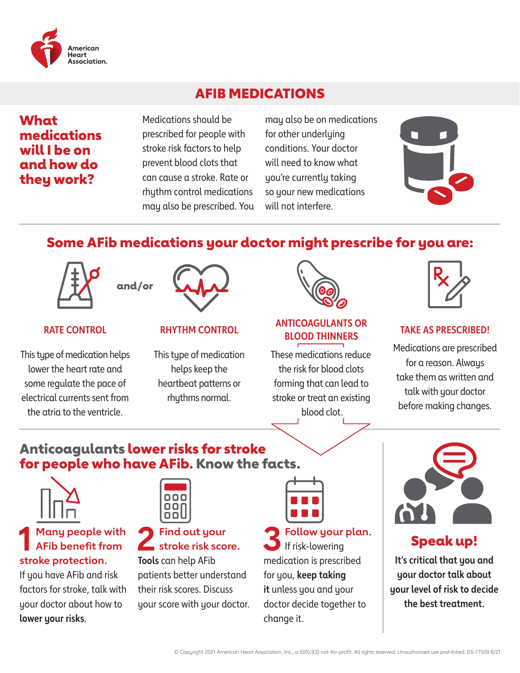

### AFIB MEDICATIONS

### What medications will I be on and how do they work?

Medications should be prescribed for people with stroke risk factors to help prevent blood clots that can cause a stroke. Rate or rhythm control medications may also be prescribed. You

may also be on medications for other underlying conditions. Your doctor will need to know what you're currently taking so your new medications will not interfere.



### Some AFib medications your doctor might prescribe for you are:



#### **RATE CONTROL**

This type of medication helps lower the heart rate and some regulate the pace of electrical currents sent from the atria to the ventricle.



#### **RHYTHM CONTROL**

This type of medication helps keep the heartbeat patterns or rhythms normal.



#### **ANTICOAGULANTS OR BLOOD THINNERS**

These medications reduce the risk for blood clots forming that can lead to stroke or treat an existing blood clot.



#### **TAKE AS PRESCRIBED!**

Medications are prescribed for a reason. Always take them as written and talk with your doctor before making changes.

### Anticoagulants lower risks for stroke for people who have AFib. Know the facts.



### **1 Many people with AFib benefit from stroke protection.**

If you have AFib and risk factors for stroke, talk with your doctor about how to **lower your risks**.



### **2 Find out your stroke risk score. Tools** can help AFib

patients better understand their risk scores. Discuss your score with your doctor.

**3 Follow your plan.** If risk-lowering medication is prescribed for you, **keep taking it** unless you and your doctor decide together to change it.



### Speak up!

**It's critical that you and your doctor talk about your level of risk to decide the best treatment.**